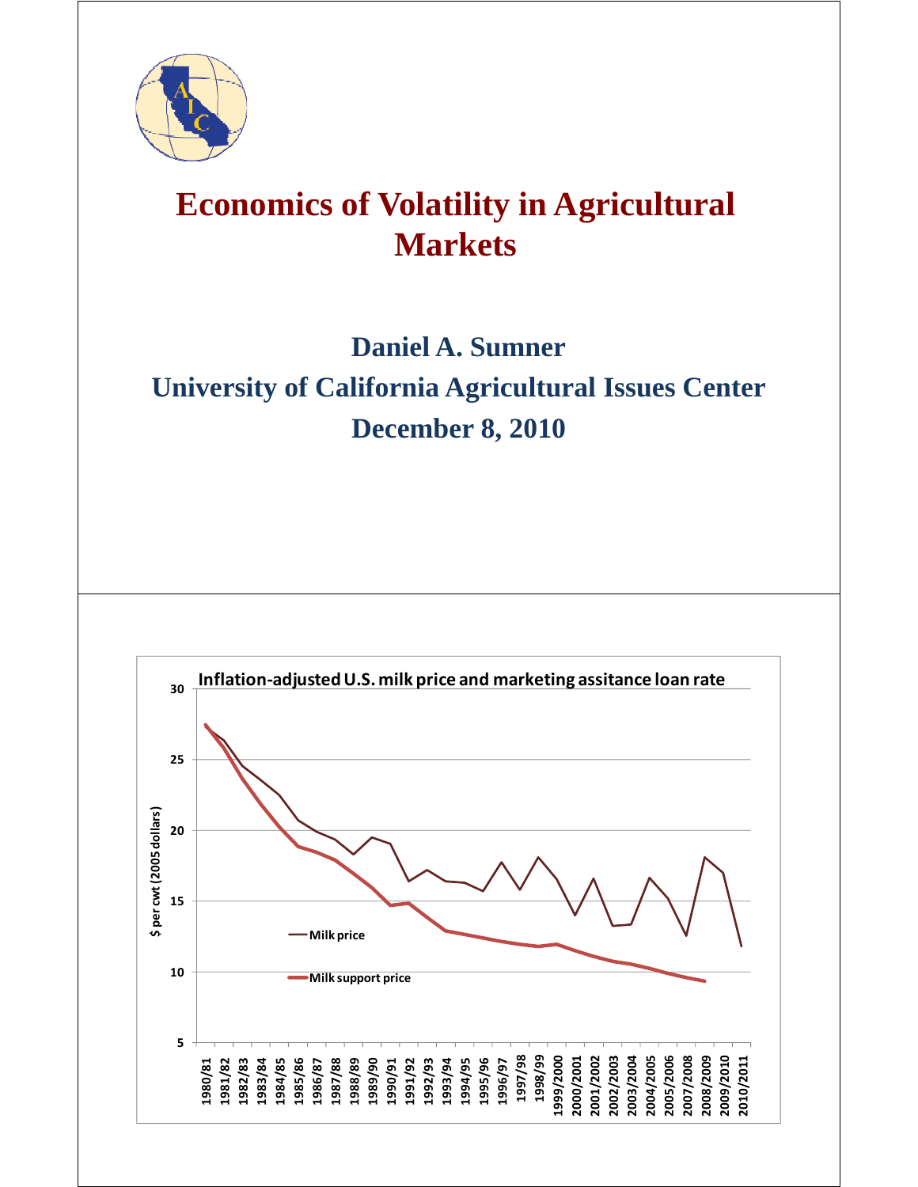

## **Economics of Volatility in Agricultural Markets**

## **Daniel A. Sumner University of California Agricultural Issues Center December 8, 2010**

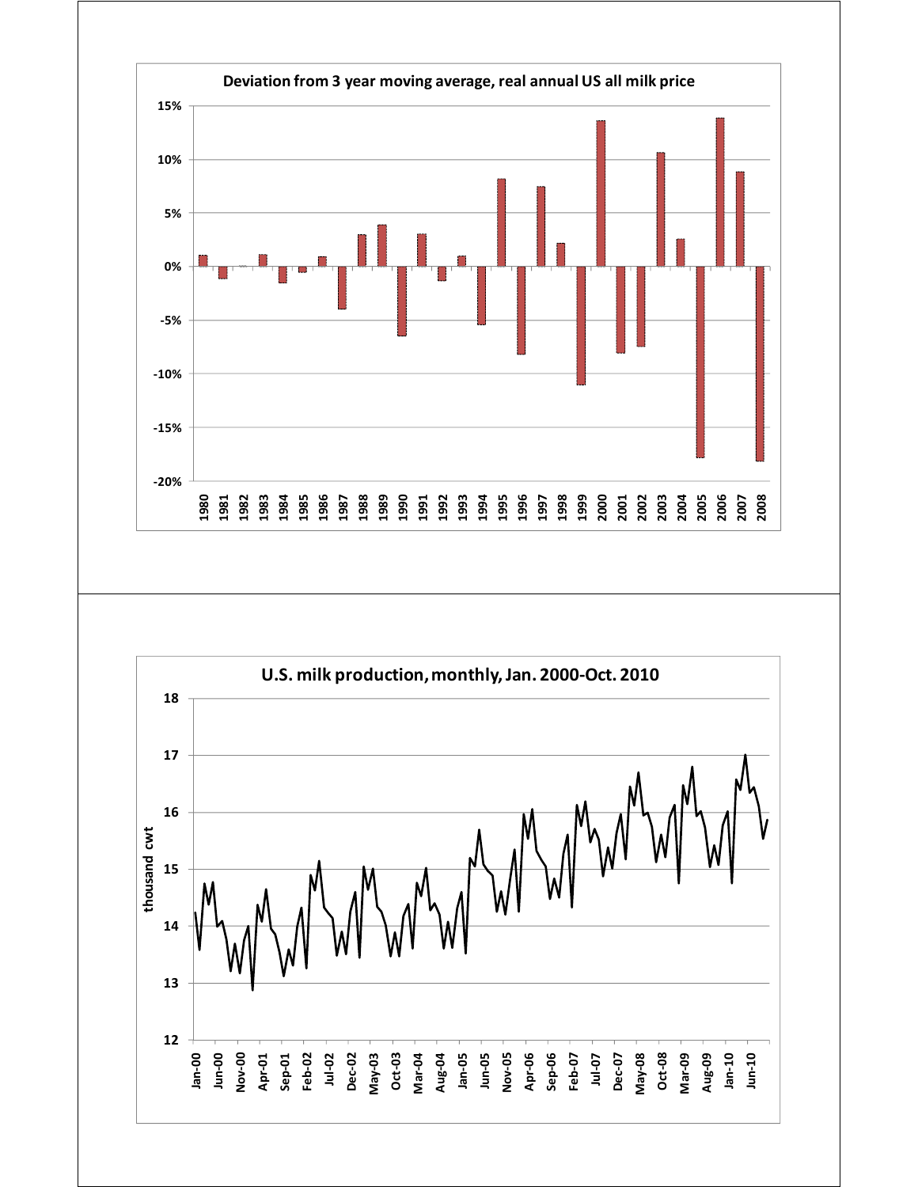

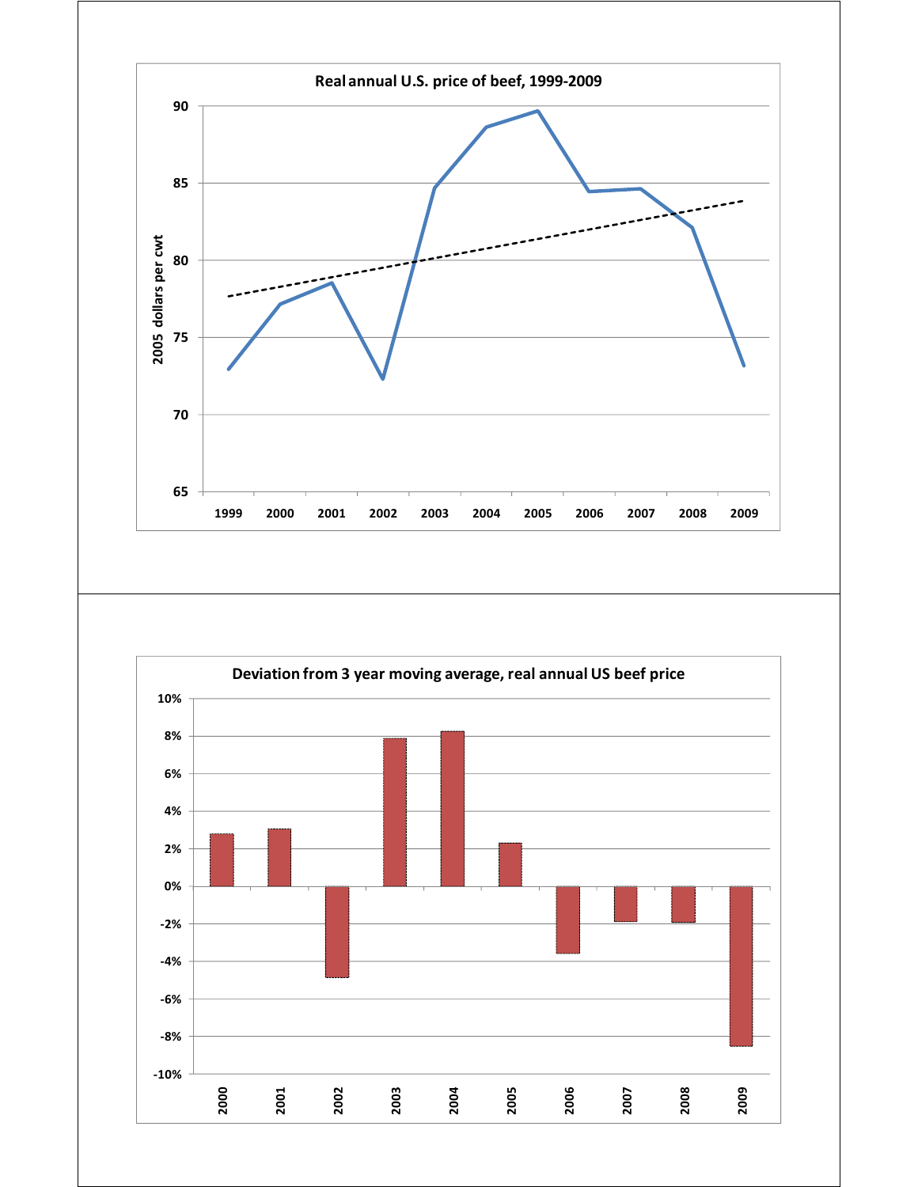

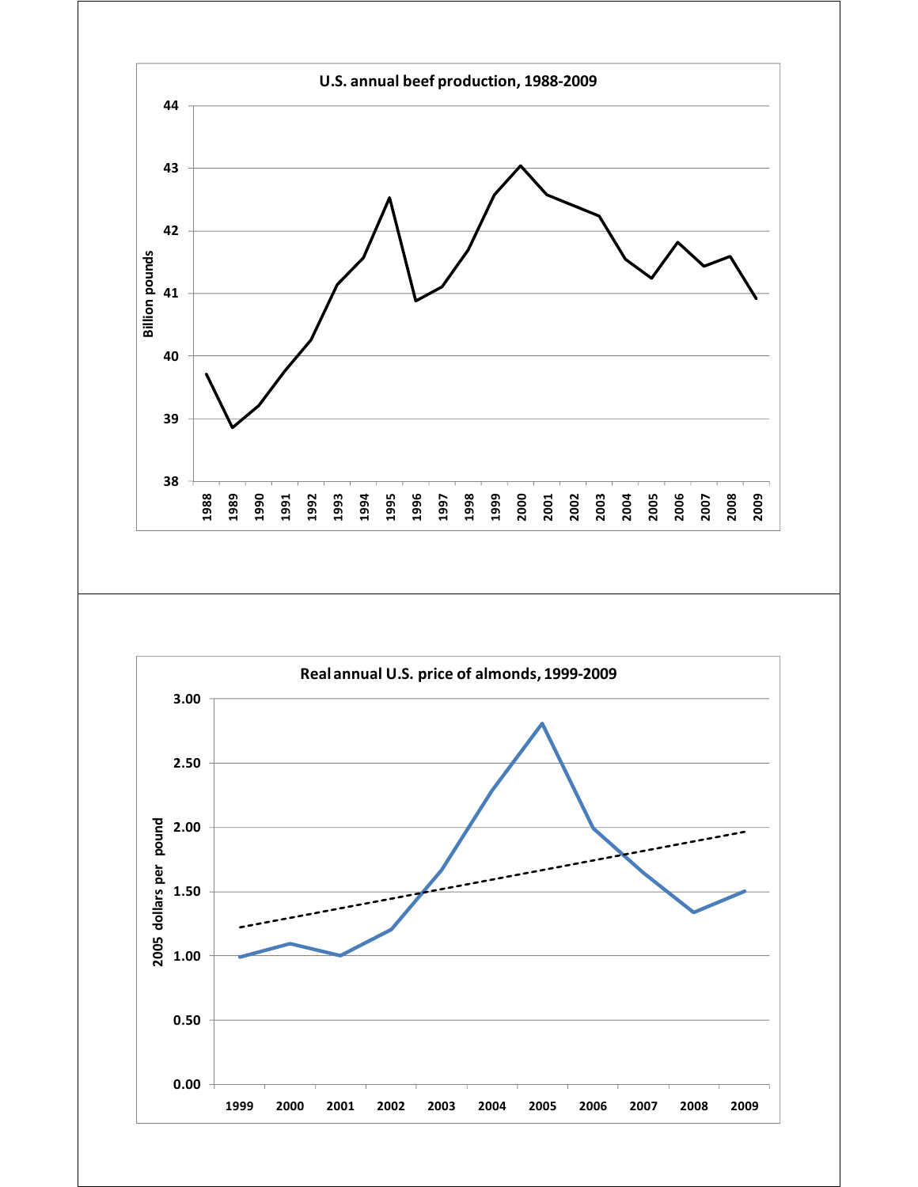

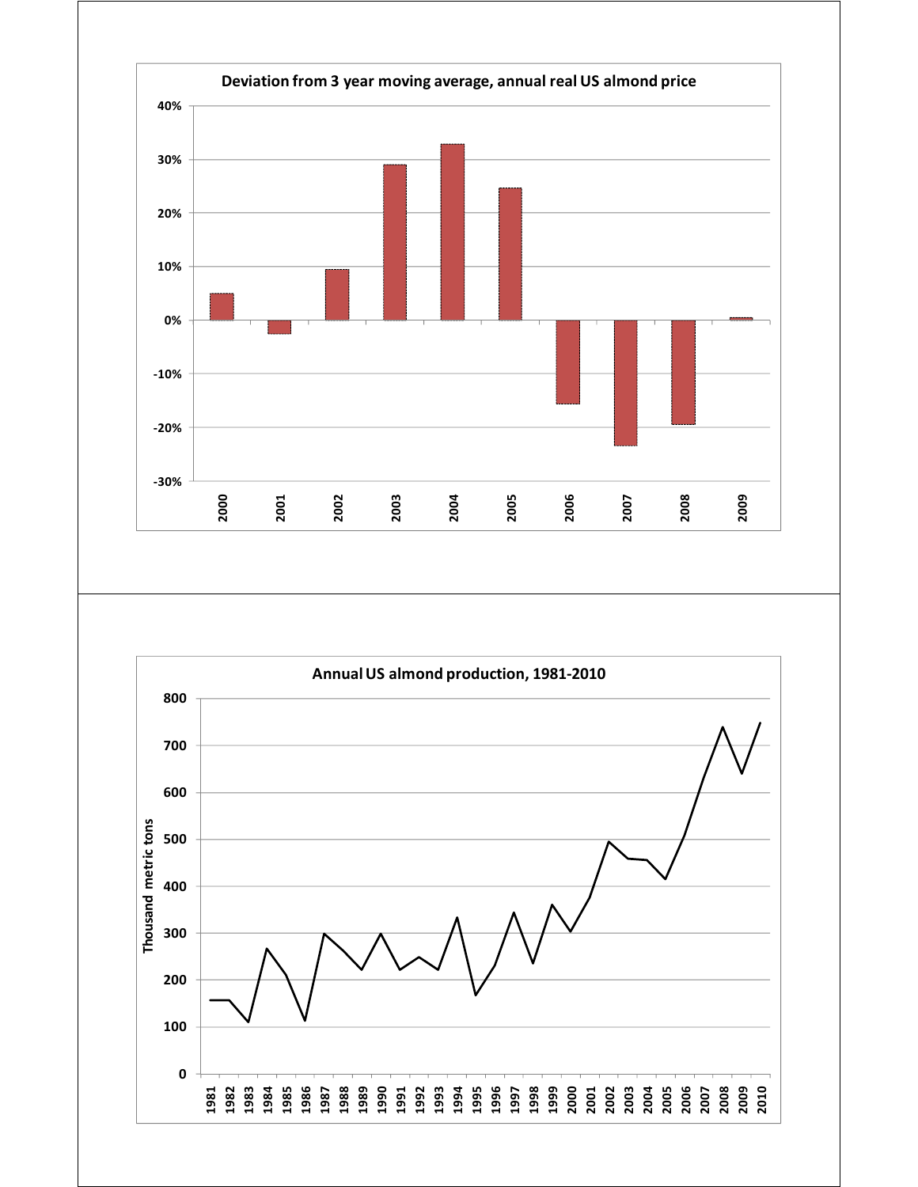

![](_page_4_Figure_1.jpeg)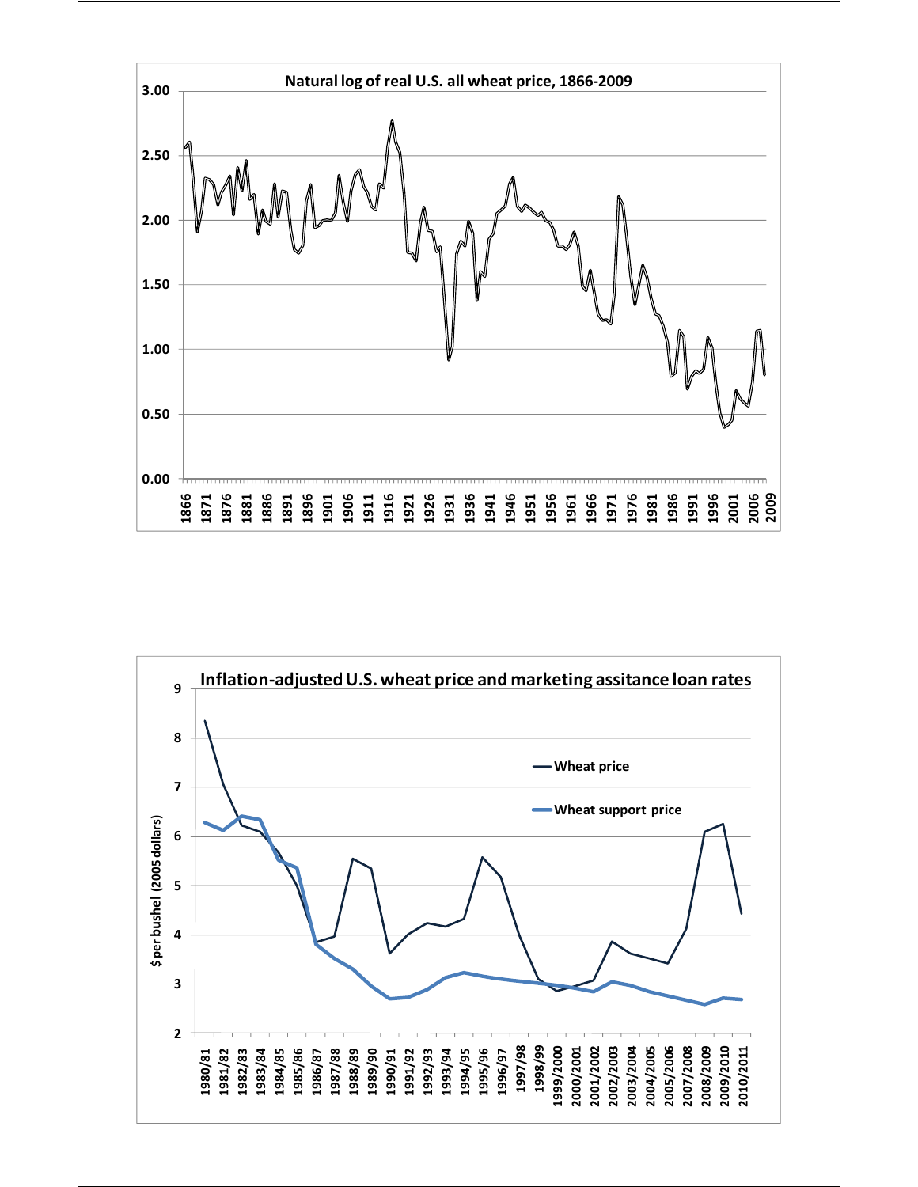![](_page_5_Figure_0.jpeg)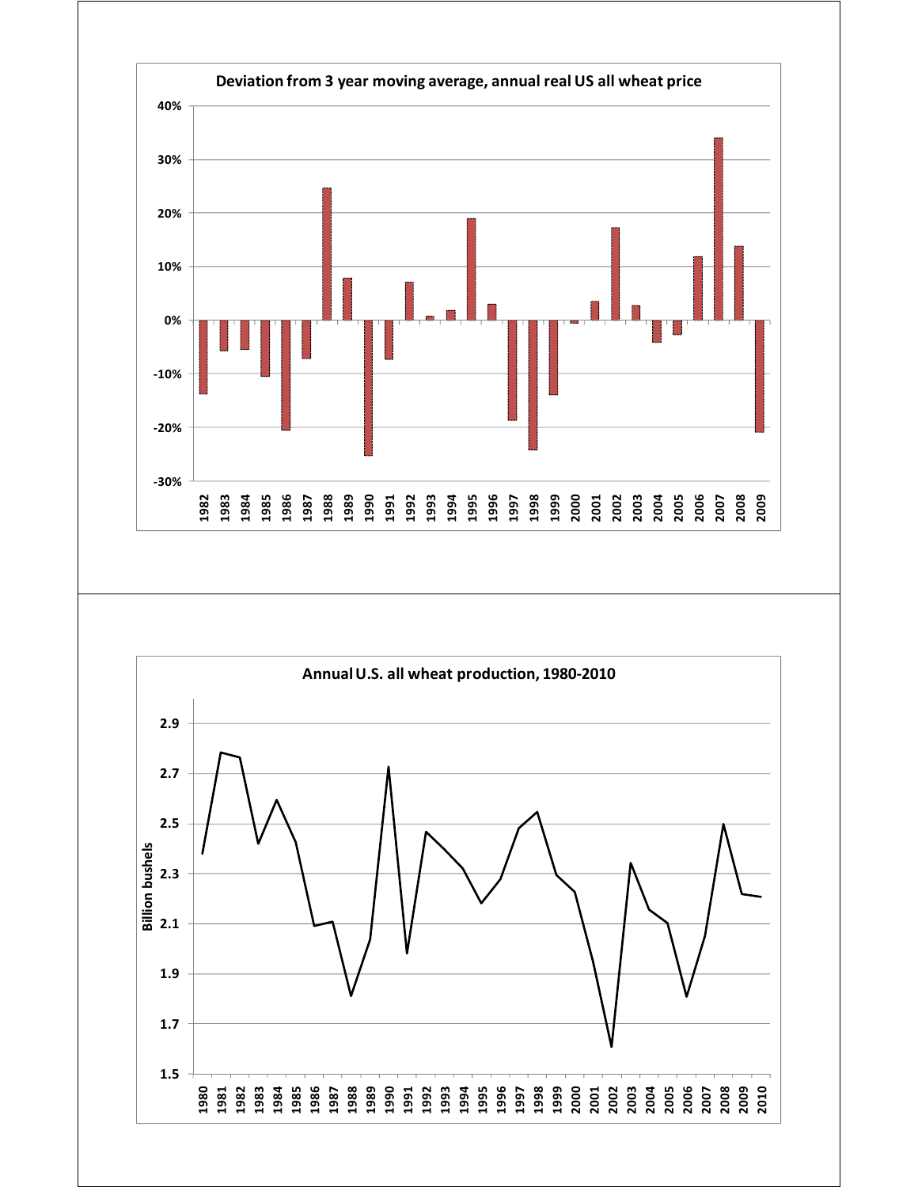![](_page_6_Figure_0.jpeg)

![](_page_6_Figure_1.jpeg)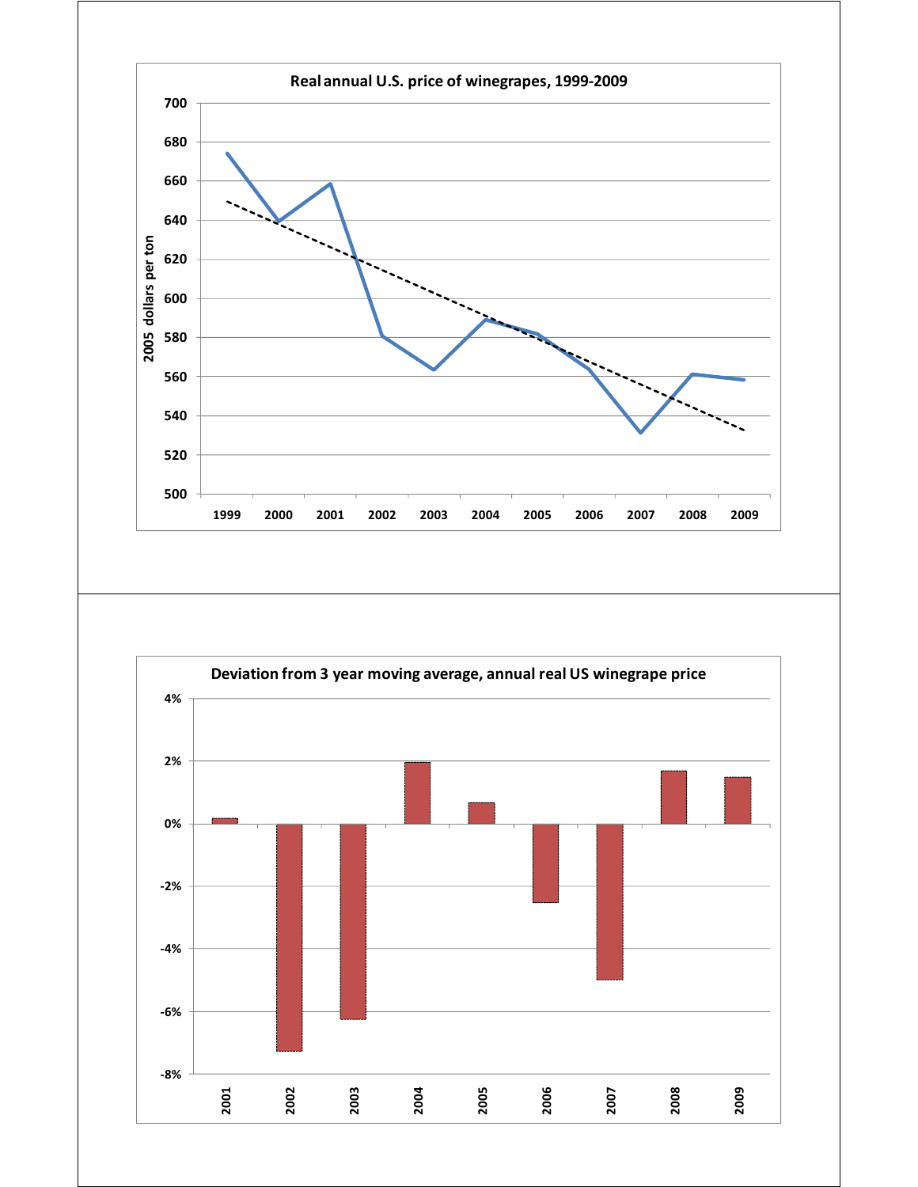![](_page_7_Figure_0.jpeg)

![](_page_7_Figure_1.jpeg)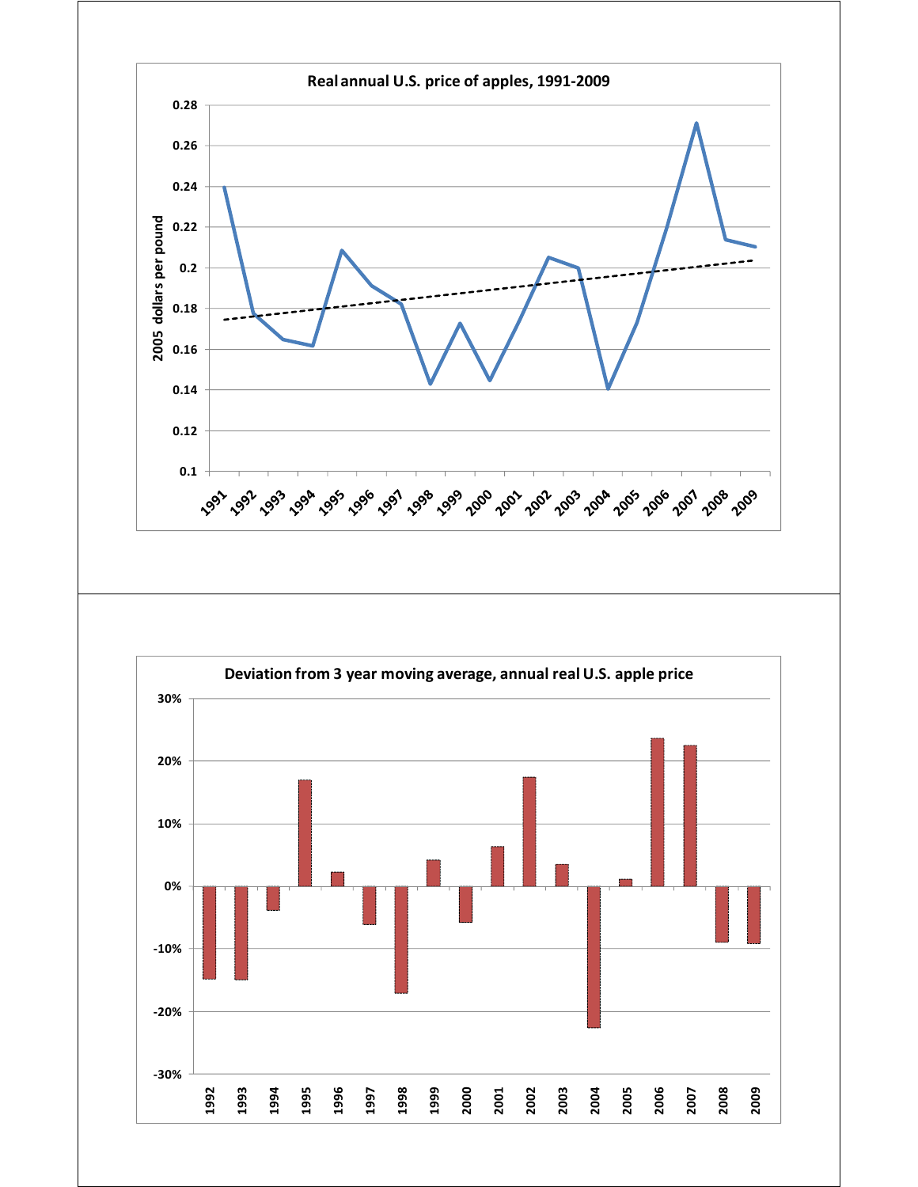![](_page_8_Figure_0.jpeg)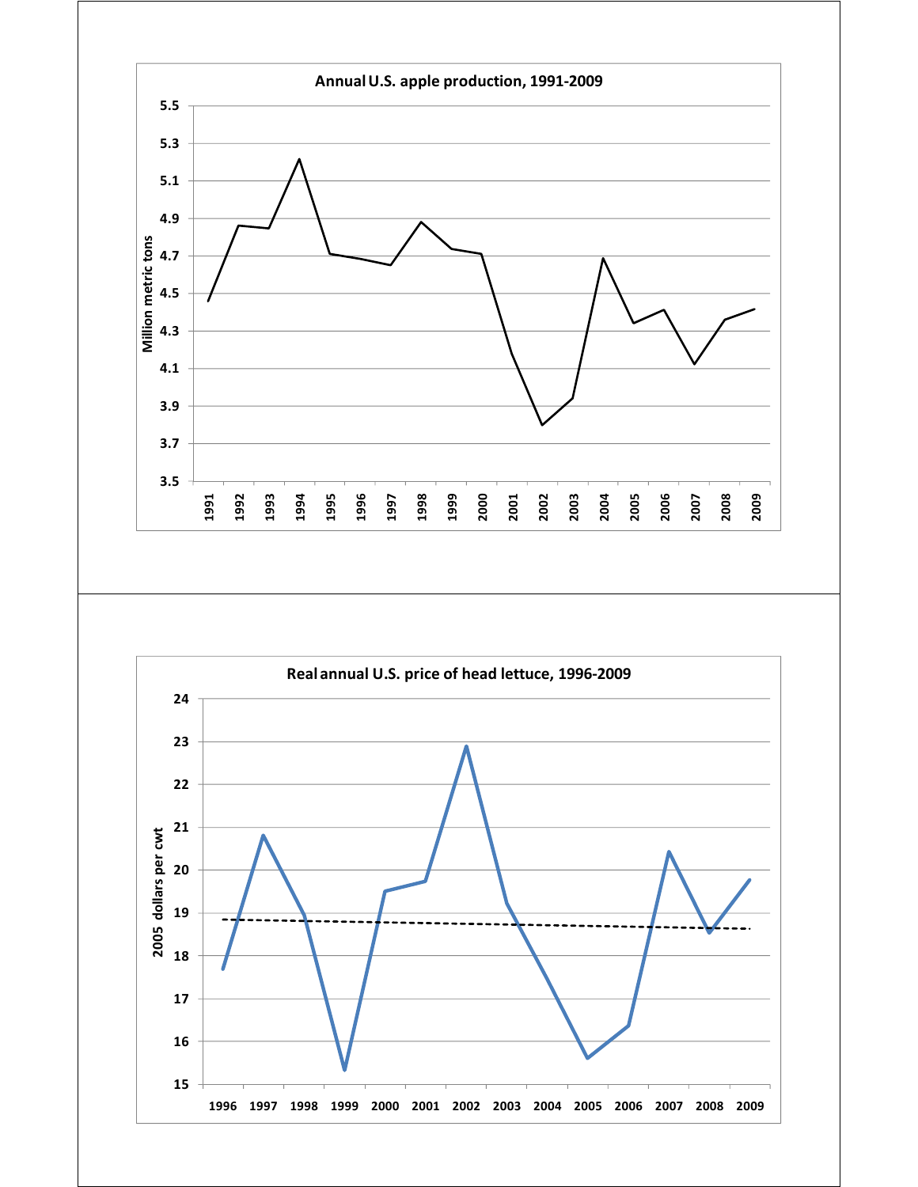![](_page_9_Figure_0.jpeg)

![](_page_9_Figure_1.jpeg)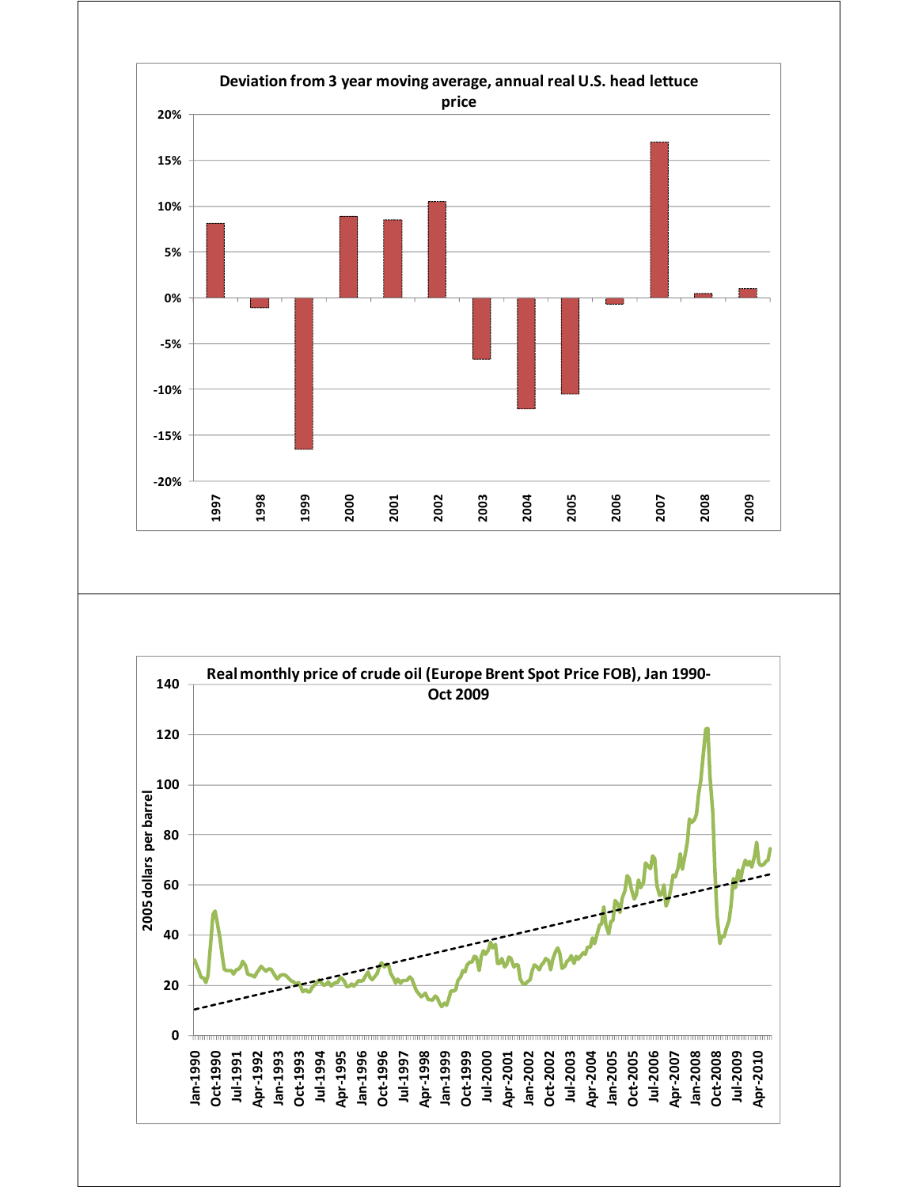![](_page_10_Figure_0.jpeg)

![](_page_10_Figure_1.jpeg)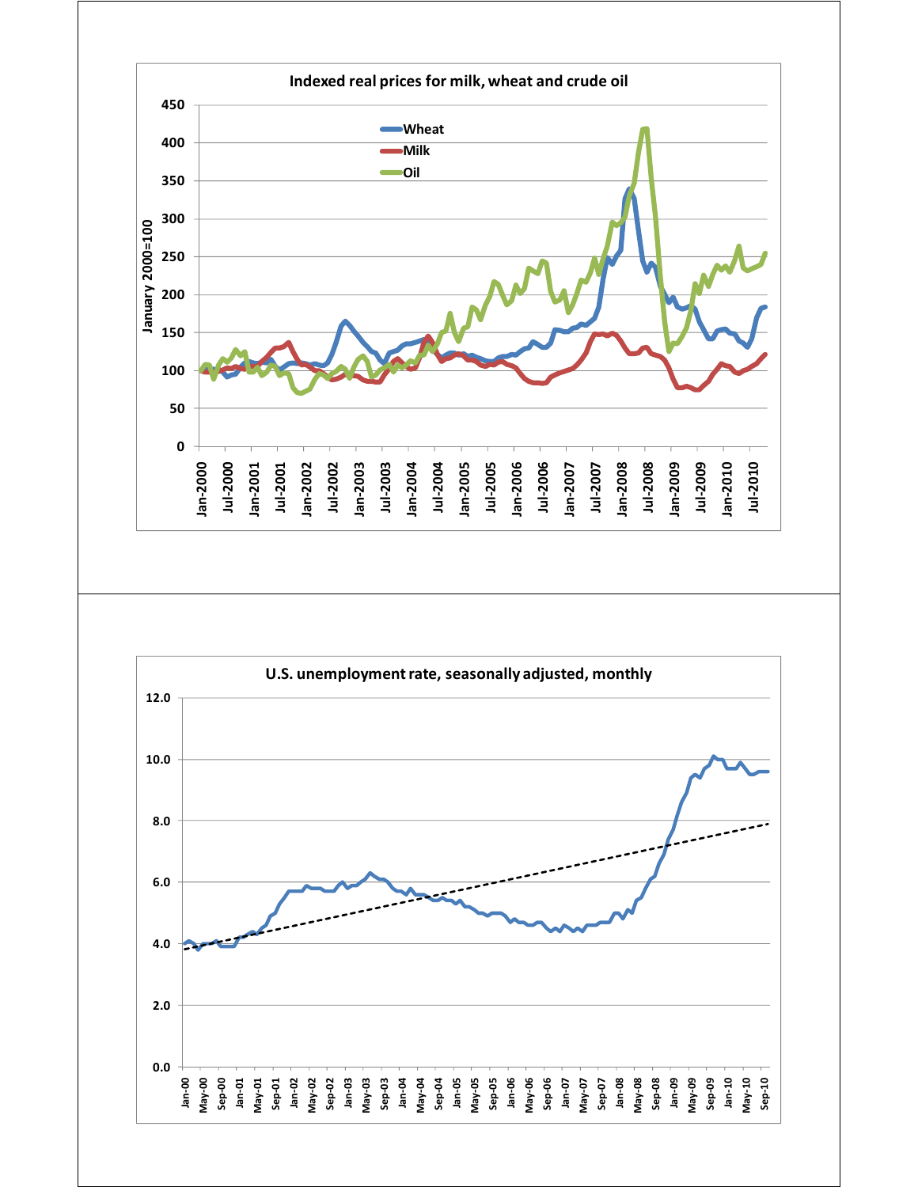![](_page_11_Figure_0.jpeg)